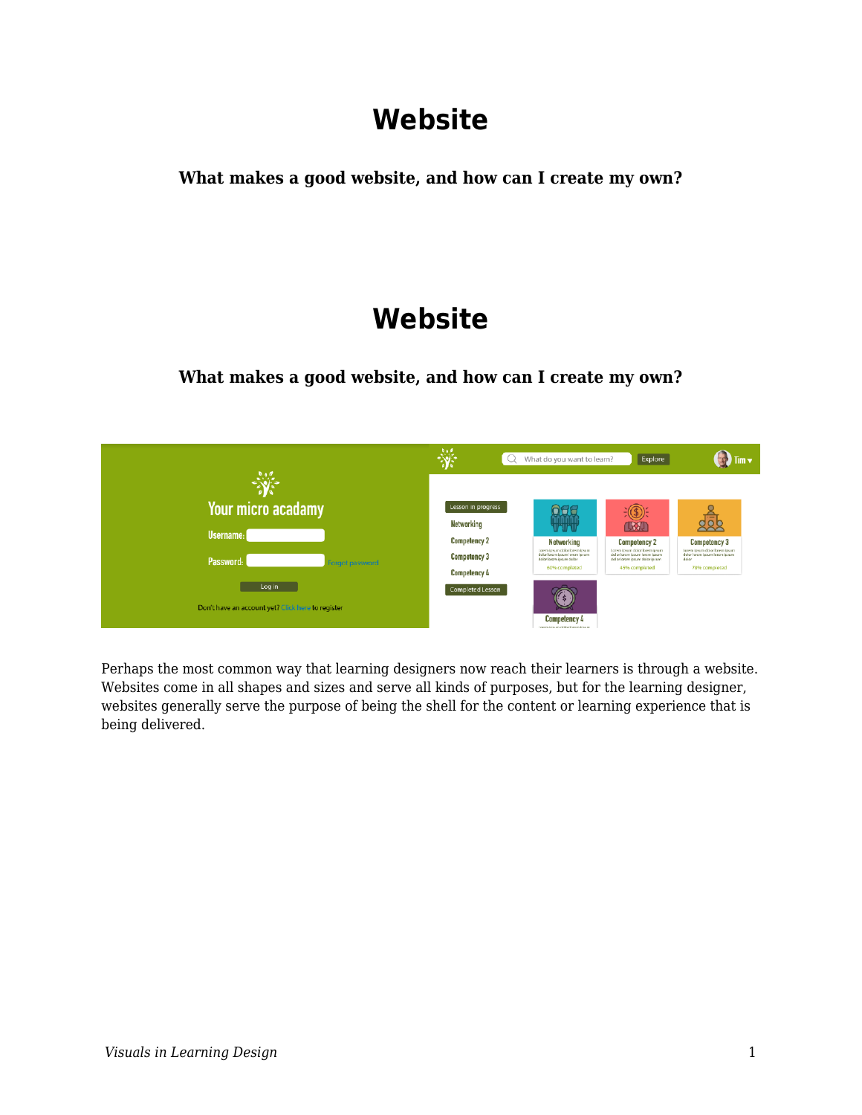# **Website**

**What makes a good website, and how can I create my own?**

# **Website**

**What makes a good website, and how can I create my own?**



Perhaps the most common way that learning designers now reach their learners is through a website. Websites come in all shapes and sizes and serve all kinds of purposes, but for the learning designer, websites generally serve the purpose of being the shell for the content or learning experience that is being delivered.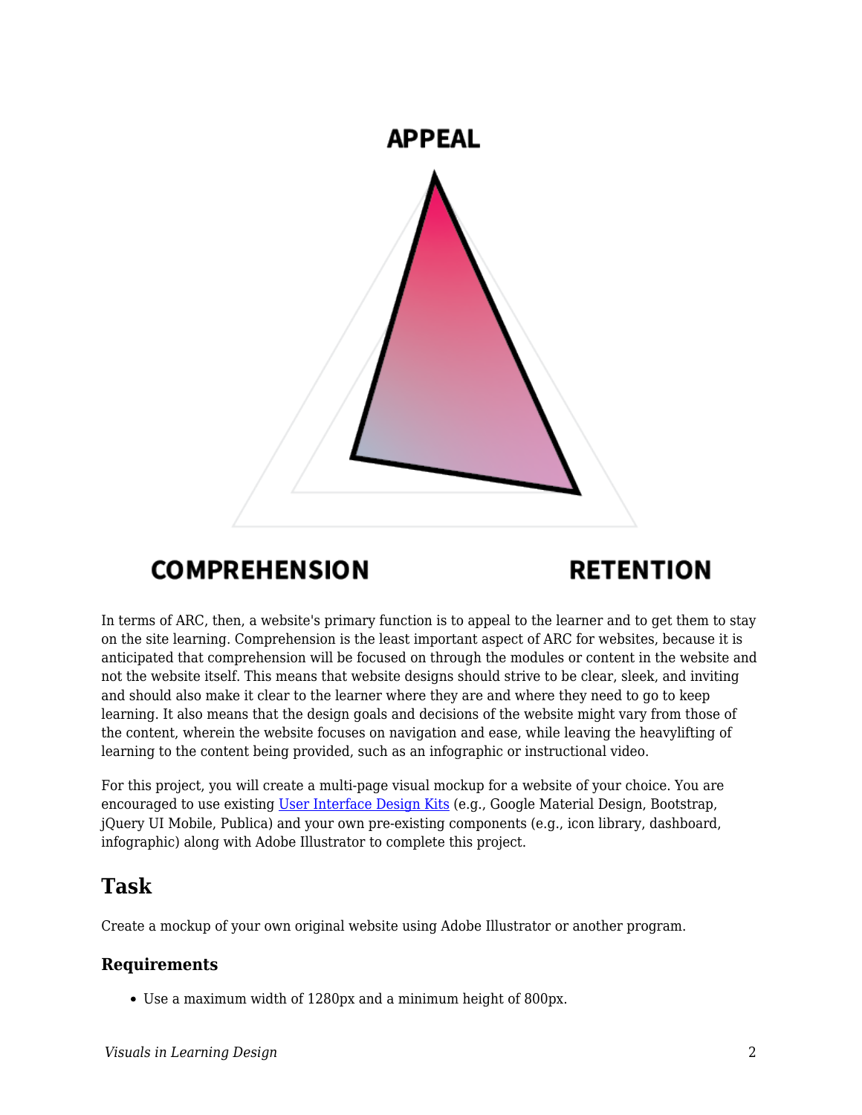

## **COMPREHENSION**

# **RETENTION**

In terms of ARC, then, a website's primary function is to appeal to the learner and to get them to stay on the site learning. Comprehension is the least important aspect of ARC for websites, because it is anticipated that comprehension will be focused on through the modules or content in the website and not the website itself. This means that website designs should strive to be clear, sleek, and inviting and should also make it clear to the learner where they are and where they need to go to keep learning. It also means that the design goals and decisions of the website might vary from those of the content, wherein the website focuses on navigation and ease, while leaving the heavylifting of learning to the content being provided, such as an infographic or instructional video.

For this project, you will create a multi-page visual mockup for a website of your choice. You are encouraged to use existing [User Interface Design Kits](https://edtechbooks.org/design/user_interface_design_kits) (e.g., Google Material Design, Bootstrap, jQuery UI Mobile, Publica) and your own pre-existing components (e.g., icon library, dashboard, infographic) along with Adobe Illustrator to complete this project.

## **Task**

Create a mockup of your own original website using Adobe Illustrator or another program.

#### **Requirements**

Use a maximum width of 1280px and a minimum height of 800px.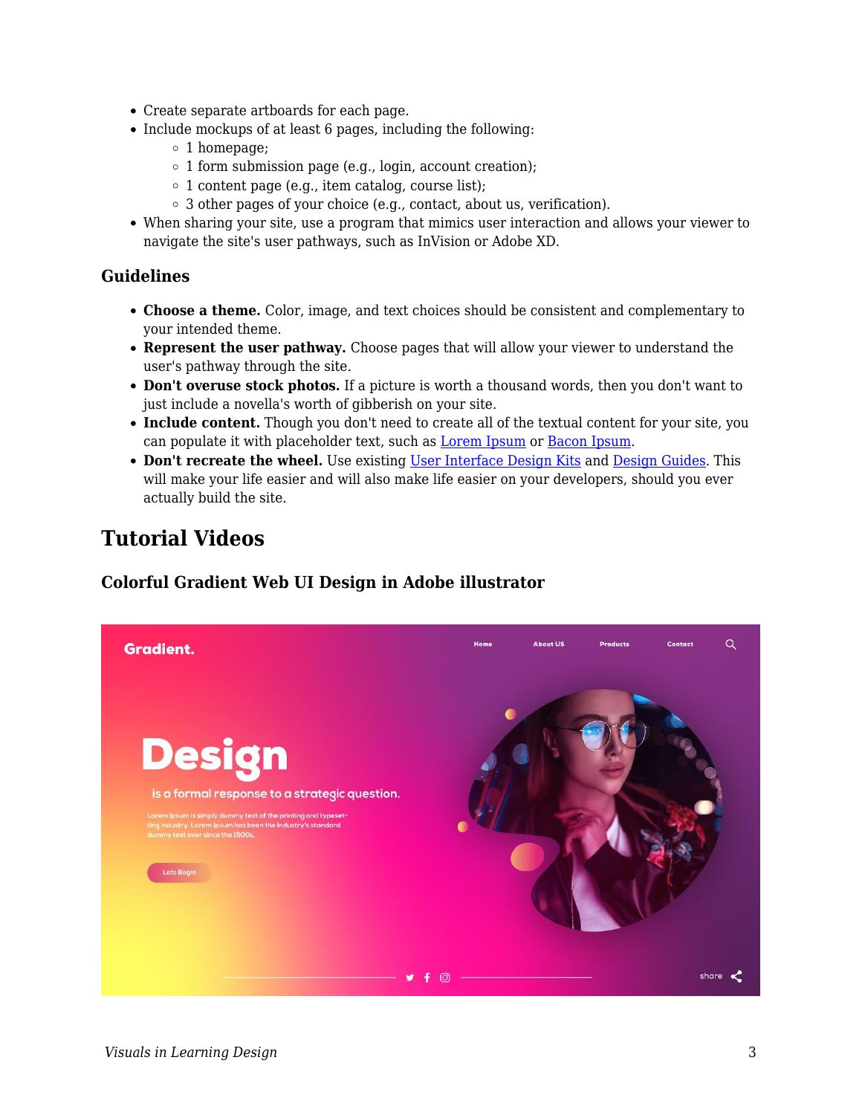- Create separate artboards for each page.
- Include mockups of at least 6 pages, including the following:
	- $\circ$  1 homepage;
	- $\circ$  1 form submission page (e.g., login, account creation);
	- $\circ$  1 content page (e.g., item catalog, course list);
	- 3 other pages of your choice (e.g., contact, about us, verification).
- When sharing your site, use a program that mimics user interaction and allows your viewer to navigate the site's user pathways, such as InVision or Adobe XD.

#### **Guidelines**

- **Choose a theme.** Color, image, and text choices should be consistent and complementary to your intended theme.
- Represent the user pathway. Choose pages that will allow your viewer to understand the user's pathway through the site.
- **Don't overuse stock photos.** If a picture is worth a thousand words, then you don't want to just include a novella's worth of gibberish on your site.
- **Include content.** Though you don't need to create all of the textual content for your site, you can populate it with placeholder text, such as **Lorem Ipsum** or **Bacon Ipsum**.
- **Don't recreate the wheel.** Use existing [User Interface Design Kits](https://edtechbooks.org/design/user_interface_design_kits) and [Design Guides.](https://edtechbooks.org/design/design_guides) This will make your life easier and will also make life easier on your developers, should you ever actually build the site.

### **Tutorial Videos**

#### **Colorful Gradient Web UI Design in Adobe illustrator**

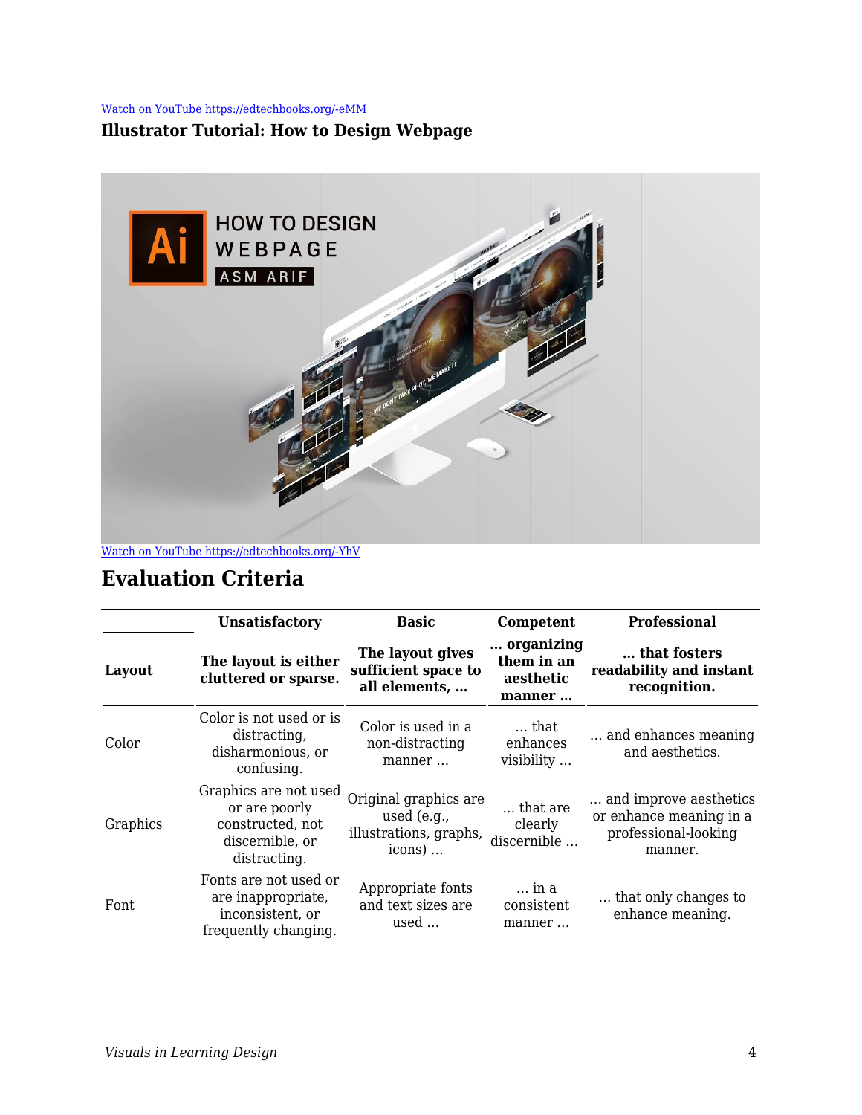[Watch on YouTube https://edtechbooks.org/-eMM](https://www.youtube.com/embed/V2aaotz72cE?autoplay=1&rel=0&showinfo=0&modestbranding=1)

#### **Illustrator Tutorial: How to Design Webpage**



## **Evaluation Criteria**

|          | <b>Unsatisfactory</b>                                                                         | Basic                                                                      | Competent                                       | <b>Professional</b>                                                                   |
|----------|-----------------------------------------------------------------------------------------------|----------------------------------------------------------------------------|-------------------------------------------------|---------------------------------------------------------------------------------------|
| Layout   | The layout is either<br>cluttered or sparse.                                                  | The layout gives<br>sufficient space to<br>all elements,                   | organizing<br>them in an<br>aesthetic<br>manner | that fosters<br>readability and instant<br>recognition.                               |
| Color    | Color is not used or is<br>distracting,<br>disharmonious, or<br>confusing.                    | Color is used in a<br>non-distracting<br>manner                            | that<br>enhances<br>visibility                  | and enhances meaning<br>and aesthetics.                                               |
| Graphics | Graphics are not used<br>or are poorly<br>constructed, not<br>discernible, or<br>distracting. | Original graphics are<br>used $(e.g.,$<br>illustrations, graphs,<br>icons) | that are<br>clearly<br>discernible              | and improve aesthetics.<br>or enhance meaning in a<br>professional-looking<br>manner. |
| Font     | Fonts are not used or<br>are inappropriate,<br>inconsistent, or<br>frequently changing.       | Appropriate fonts<br>and text sizes are<br>used                            | in a<br>consistent<br>manner                    | that only changes to<br>enhance meaning.                                              |